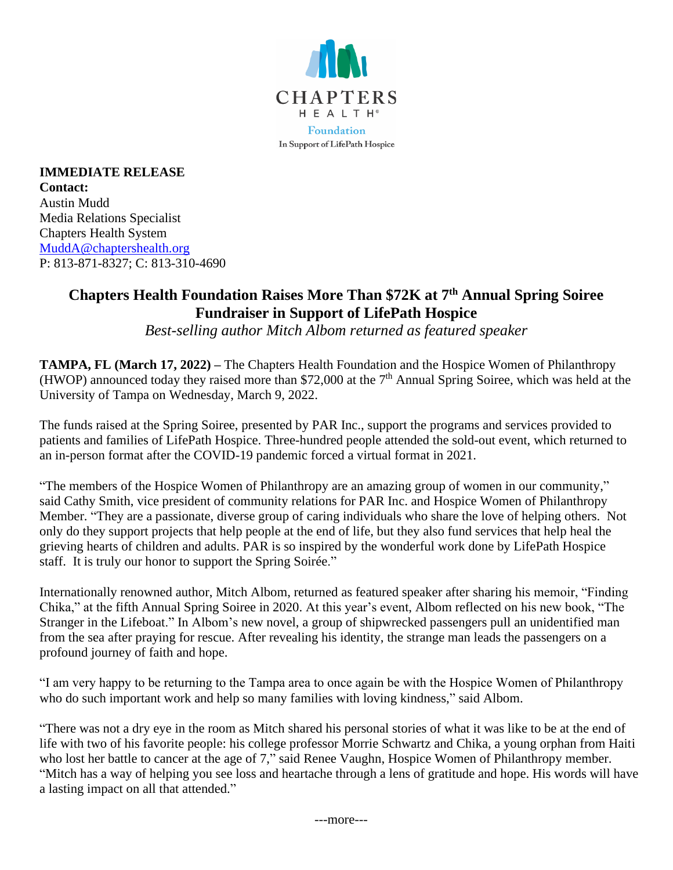

**IMMEDIATE RELEASE Contact:** Austin Mudd Media Relations Specialist Chapters Health System [MuddA@chaptershealth.org](mailto:MuddA@chaptershealth.org) P: 813-871-8327; C: 813-310-4690

## **Chapters Health Foundation Raises More Than \$72K at 7 th Annual Spring Soiree Fundraiser in Support of LifePath Hospice**

*Best-selling author Mitch Albom returned as featured speaker*

**TAMPA, FL (March 17, 2022) –** The Chapters Health Foundation and the Hospice Women of Philanthropy (HWOP) announced today they raised more than \$72,000 at the  $7<sup>th</sup>$  Annual Spring Soiree, which was held at the University of Tampa on Wednesday, March 9, 2022.

The funds raised at the Spring Soiree, presented by PAR Inc., support the programs and services provided to patients and families of LifePath Hospice. Three-hundred people attended the sold-out event, which returned to an in-person format after the COVID-19 pandemic forced a virtual format in 2021.

"The members of the Hospice Women of Philanthropy are an amazing group of women in our community," said Cathy Smith, vice president of community relations for PAR Inc. and Hospice Women of Philanthropy Member. "They are a passionate, diverse group of caring individuals who share the love of helping others. Not only do they support projects that help people at the end of life, but they also fund services that help heal the grieving hearts of children and adults. PAR is so inspired by the wonderful work done by LifePath Hospice staff. It is truly our honor to support the Spring Soirée."

Internationally renowned author, Mitch Albom, returned as featured speaker after sharing his memoir, "Finding Chika," at the fifth Annual Spring Soiree in 2020. At this year's event, Albom reflected on his new book, "The Stranger in the Lifeboat." In Albom's new novel, a group of shipwrecked passengers pull an unidentified man from the sea after praying for rescue. After revealing his identity, the strange man leads the passengers on a profound journey of faith and hope.

"I am very happy to be returning to the Tampa area to once again be with the Hospice Women of Philanthropy who do such important work and help so many families with loving kindness," said Albom.

"There was not a dry eye in the room as Mitch shared his personal stories of what it was like to be at the end of life with two of his favorite people: his college professor Morrie Schwartz and Chika, a young orphan from Haiti who lost her battle to cancer at the age of 7," said Renee Vaughn, Hospice Women of Philanthropy member. "Mitch has a way of helping you see loss and heartache through a lens of gratitude and hope. His words will have a lasting impact on all that attended."